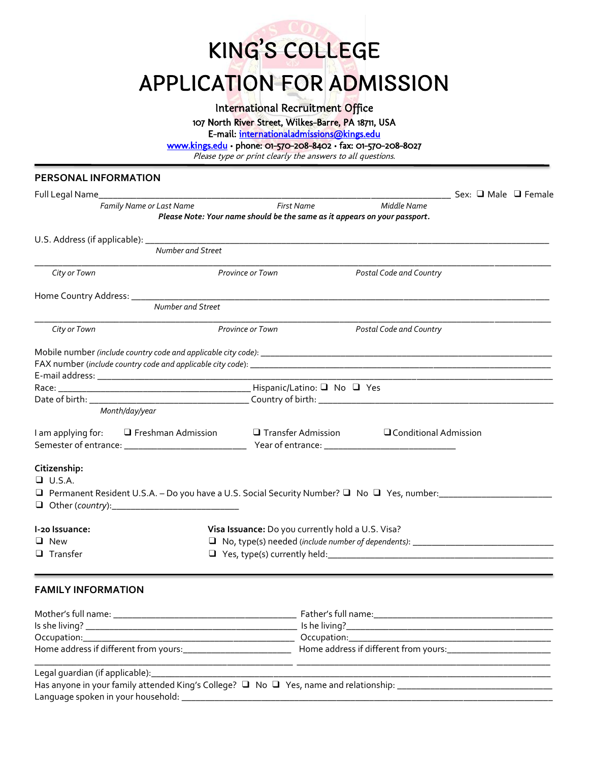KING'S COLLEGE APPLICATION FOR ADMISSION

International Recruitment Office

107 North River Street, Wilkes-Barre, PA 18711, USA

E-mail: [internationaladmissions@kings.edu](mailto:internationaladmissions@kings.edu) 

[www.kings.edu](http://www.kings.edu/) • phone: 01-570-208-8402 • fax: 01-570-208-8027

Please type or print clearly the answers to all questions.

# **PERSONAL INFORMATION**

| Full Legal Name_<br><b>Middle Name</b><br>Family Name or Last Name<br>First Name<br>Please Note: Your name should be the same as it appears on your passport. |  |  |  |  |
|---------------------------------------------------------------------------------------------------------------------------------------------------------------|--|--|--|--|
|                                                                                                                                                               |  |  |  |  |
|                                                                                                                                                               |  |  |  |  |
|                                                                                                                                                               |  |  |  |  |
| Number and Street                                                                                                                                             |  |  |  |  |
| City or Town<br>Postal Code and Country<br><b>Province or Town</b>                                                                                            |  |  |  |  |
|                                                                                                                                                               |  |  |  |  |
| Number and Street                                                                                                                                             |  |  |  |  |
| City or Town<br><b>Province or Town</b><br><b>Postal Code and Country</b>                                                                                     |  |  |  |  |
|                                                                                                                                                               |  |  |  |  |
|                                                                                                                                                               |  |  |  |  |
|                                                                                                                                                               |  |  |  |  |
|                                                                                                                                                               |  |  |  |  |
|                                                                                                                                                               |  |  |  |  |
| Month/day/year                                                                                                                                                |  |  |  |  |
| I am applying for: □ Freshman Admission □ Transfer Admission □ Conditional Admission                                                                          |  |  |  |  |
| Citizenship:                                                                                                                                                  |  |  |  |  |
| $\Box$ U.S.A.                                                                                                                                                 |  |  |  |  |
|                                                                                                                                                               |  |  |  |  |
|                                                                                                                                                               |  |  |  |  |
| Visa Issuance: Do you currently hold a U.S. Visa?<br>I-20 Issuance:                                                                                           |  |  |  |  |
| $\Box$ New                                                                                                                                                    |  |  |  |  |
| $\Box$ Transfer                                                                                                                                               |  |  |  |  |
| <b>FAMILY INFORMATION</b>                                                                                                                                     |  |  |  |  |
|                                                                                                                                                               |  |  |  |  |
| Is she living?<br>Is he living?                                                                                                                               |  |  |  |  |

| 1 |  |
|---|--|
|   |  |
|   |  |
|   |  |
|   |  |
|   |  |
|   |  |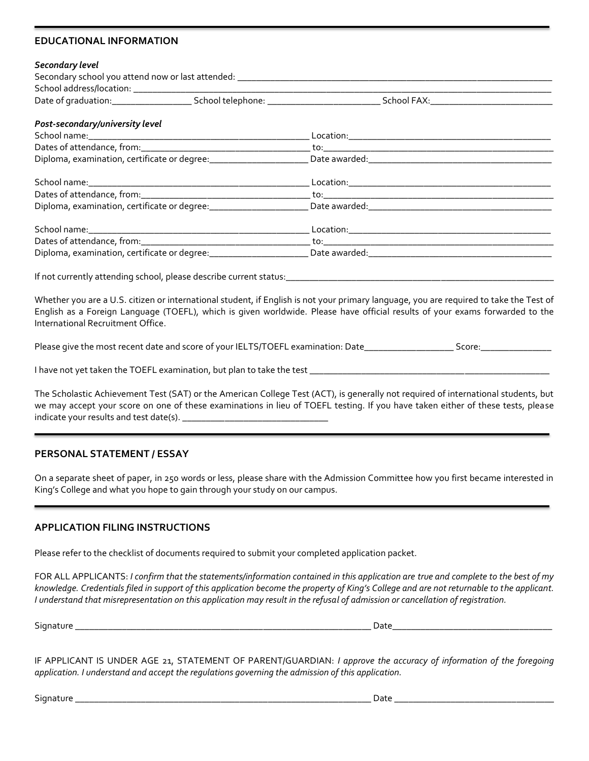### **EDUCATIONAL INFORMATION**

#### *Secondary level*

| Post-secondary/university level |  |  |
|---------------------------------|--|--|
|                                 |  |  |
|                                 |  |  |
|                                 |  |  |
|                                 |  |  |
|                                 |  |  |
|                                 |  |  |
|                                 |  |  |
|                                 |  |  |
|                                 |  |  |
|                                 |  |  |

Whether you are a U.S. citizen or international student, if English is not your primary language, you are required to take the Test of English as a Foreign Language (TOEFL), which is given worldwide. Please have official results of your exams forwarded to the International Recruitment Office.

Please give the most recent date and score of your IELTS/TOEFL examination: Date\_\_\_\_\_\_\_\_\_\_\_\_\_\_\_\_\_\_\_ Score:\_\_\_\_\_\_\_\_\_\_\_\_\_\_\_

I have not yet taken the TOEFL examination, but plan to take the test \_\_\_\_\_\_\_\_\_\_\_\_\_\_\_\_\_\_\_\_\_\_\_\_\_\_\_\_\_\_\_\_\_\_\_\_\_\_\_\_\_\_\_\_\_\_\_\_\_\_\_

The Scholastic Achievement Test (SAT) or the American College Test (ACT), is generally not required of international students, but we may accept your score on one of these examinations in lieu of TOEFL testing. If you have taken either of these tests, please indicate your results and test date(s). \_\_\_\_\_\_\_\_\_\_\_\_\_\_\_\_\_\_\_\_\_\_\_\_\_\_\_\_\_\_\_

## **PERSONAL STATEMENT / ESSAY**

On a separate sheet of paper, in 250 words or less, please share with the Admission Committee how you first became interested in King's College and what you hope to gain through your study on our campus.

### **APPLICATION FILING INSTRUCTIONS**

Please refer to the checklist of documents required to submit your completed application packet.

FOR ALL APPLICANTS: *I confirm that the statements/information contained in this application are true and complete to the best of my knowledge. Credentials filed in support of this application become the property of King's College and are not returnable to the applicant. I understand that misrepresentation on this application may result in the refusal of admission or cancellation of registration.*

Signature \_\_\_\_\_\_\_\_\_\_\_\_\_\_\_\_\_\_\_\_\_\_\_\_\_\_\_\_\_\_\_\_\_\_\_\_\_\_\_\_\_\_\_\_\_\_\_\_\_\_\_\_\_\_\_\_\_\_\_\_\_\_\_ Date\_\_\_\_\_\_\_\_\_\_\_\_\_\_\_\_\_\_\_\_\_\_\_\_\_\_\_\_\_\_\_\_\_\_

IF APPLICANT IS UNDER AGE 21, STATEMENT OF PARENT/GUARDIAN: *I approve the accuracy of information of the foregoing application. I understand and accept the regulations governing the admission of this application.*

Signature \_\_\_\_\_\_\_\_\_\_\_\_\_\_\_\_\_\_\_\_\_\_\_\_\_\_\_\_\_\_\_\_\_\_\_\_\_\_\_\_\_\_\_\_\_\_\_\_\_\_\_\_\_\_\_\_\_\_\_\_\_\_\_ Date \_\_\_\_\_\_\_\_\_\_\_\_\_\_\_\_\_\_\_\_\_\_\_\_\_\_\_\_\_\_\_\_\_\_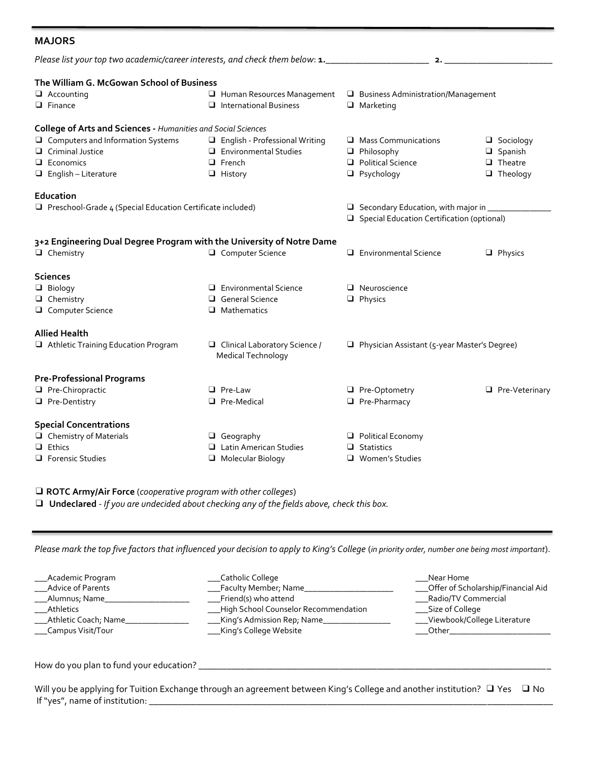| <b>MAJORS</b>                                                                                                            |                                                                                                            |                                                                                                  |                                                                         |
|--------------------------------------------------------------------------------------------------------------------------|------------------------------------------------------------------------------------------------------------|--------------------------------------------------------------------------------------------------|-------------------------------------------------------------------------|
| Please list your top two academic/career interests, and check them below: 1.                                             |                                                                                                            | 2.                                                                                               |                                                                         |
| The William G. McGowan School of Business<br>$\Box$ Accounting<br>$\Box$ Finance                                         | Human Resources Management<br>$\Box$ International Business                                                | <b>Business Administration/Management</b><br>$\Box$ Marketing                                    |                                                                         |
| College of Arts and Sciences - Humanities and Social Sciences                                                            |                                                                                                            |                                                                                                  |                                                                         |
| $\Box$ Computers and Information Systems<br><b>Q</b> Criminal Justice<br>$\Box$ Economics<br>$\Box$ English - Literature | <b>Q</b> English - Professional Writing<br>$\Box$ Environmental Studies<br>$\Box$ French<br>$\Box$ History | Mass Communications<br>$\Box$ Philosophy<br>$\Box$ Political Science<br>$\Box$ Psychology        | $\Box$ Sociology<br>$\Box$ Spanish<br>$\Box$ Theatre<br>$\Box$ Theology |
| Education<br>$\Box$ Preschool-Grade 4 (Special Education Certificate included)                                           |                                                                                                            | $\Box$ Secondary Education, with major in $\Box$<br>□ Special Education Certification (optional) |                                                                         |
| 3+2 Engineering Dual Degree Program with the University of Notre Dame<br>$\Box$ Chemistry                                | O Computer Science                                                                                         | $\Box$ Environmental Science                                                                     | $\Box$ Physics                                                          |
| <b>Sciences</b>                                                                                                          |                                                                                                            |                                                                                                  |                                                                         |
| $\Box$ Biology<br>$\Box$ Chemistry<br>O Computer Science                                                                 | $\Box$ Environmental Science<br>$\Box$ General Science<br>$\Box$ Mathematics                               | $\Box$ Neuroscience<br>$\Box$ Physics                                                            |                                                                         |
| <b>Allied Health</b>                                                                                                     |                                                                                                            |                                                                                                  |                                                                         |
| Athletic Training Education Program                                                                                      | □ Clinical Laboratory Science /<br>Medical Technology                                                      | $\Box$ Physician Assistant (5-year Master's Degree)                                              |                                                                         |
| <b>Pre-Professional Programs</b>                                                                                         |                                                                                                            |                                                                                                  |                                                                         |
| Pre-Chiropractic                                                                                                         | $\Box$ Pre-Law                                                                                             | □ Pre-Optometry                                                                                  | $\Box$ Pre-Veterinary                                                   |
| Pre-Dentistry                                                                                                            | □ Pre-Medical                                                                                              | Pre-Pharmacy                                                                                     |                                                                         |
| <b>Special Concentrations</b>                                                                                            |                                                                                                            |                                                                                                  |                                                                         |
| $\Box$ Chemistry of Materials                                                                                            | $\Box$ Geography                                                                                           | <b>Q</b> Political Economy                                                                       |                                                                         |
| $\Box$ Ethics                                                                                                            | Latin American Studies                                                                                     | $\Box$ Statistics                                                                                |                                                                         |
| $\Box$ Forensic Studies                                                                                                  | $\Box$ Molecular Biology                                                                                   | □ Women's Studies                                                                                |                                                                         |

❑ **ROTC Army/Air Force** (*cooperative program with other colleges*)

❑ **Undeclared** *- If you are undecided about checking any of the fields above, check this box.*

*Please mark the top five factors that influenced your decision to apply to King's College* (*in priority order, number one being most important*).

| ___Academic Program       | ___Catholic College                    | Near Home                            |
|---------------------------|----------------------------------------|--------------------------------------|
| Advice of Parents         | __Faculty Member; Name_                | __Offer of Scholarship/Financial Aid |
| ____Alumnus; Name_        | _Friend(s) who attend                  | ___Radio/TV Commercial               |
| Athletics                 | __High School Counselor Recommendation | _____Size of College                 |
| ____Athletic Coach, Name_ | ___King's Admission Rep; Name_         | __Viewbook/College Literature        |
| ____Campus Visit/Tour     | ____King's College Website             | Other                                |
|                           |                                        |                                      |

How do you plan to fund your education? \_\_\_\_\_\_\_\_\_\_\_\_\_\_\_\_\_\_\_\_\_\_\_\_\_\_\_\_\_\_\_\_\_\_\_\_\_\_\_\_\_\_\_\_\_\_\_\_\_\_\_\_\_\_\_\_\_\_\_\_\_\_\_\_\_\_\_\_\_\_\_\_\_\_\_

Will you be applying for Tuition Exchange through an agreement between King's College and another institution? □ Yes □ No If "yes", name of institution: \_\_\_\_\_